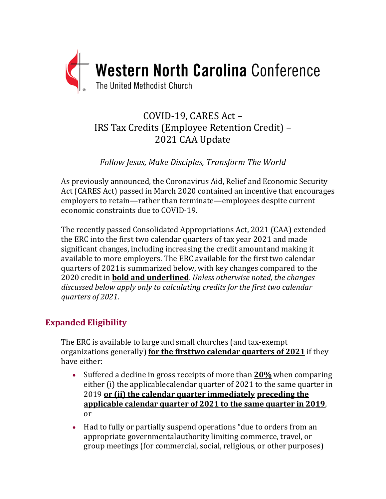

# COVID-19, CARES Act – IRS Tax Credits (Employee Retention Credit) – 2021 CAA Update

*Follow Jesus, Make Disciples, Transform The World*

As previously announced, the Coronavirus Aid, Relief and Economic Security Act (CARES Act) passed in March 2020 contained an incentive that encourages employers to retain—rather than terminate—employees despite current economic constraints due to COVID-19.

The recently passed Consolidated Appropriations Act, 2021 (CAA) extended the ERC into the first two calendar quarters of tax year 2021 and made significant changes, including increasing the credit amountand making it available to more employers. The ERC available for the first two calendar quarters of 2021is summarized below, with key changes compared to the 2020 credit in **bold and underlined**. *Unless otherwise noted, the changes discussed below apply only to calculating credits for the first two calendar quarters of 2021*.

# **Expanded Eligibility**

The ERC is available to large and small churches (and tax-exempt organizations generally) **for the firsttwo calendar quarters of 2021** if they have either:

- Suffered a decline in gross receipts of more than **20%** when comparing either (i) the applicablecalendar quarter of 2021 to the same quarter in 2019 **or (ii) the calendar quarter immediately preceding the applicable calendar quarter of 2021 to the same quarter in 2019**, or
- Had to fully or partially suspend operations "due to orders from an appropriate governmentalauthority limiting commerce, travel, or group meetings (for commercial, social, religious, or other purposes)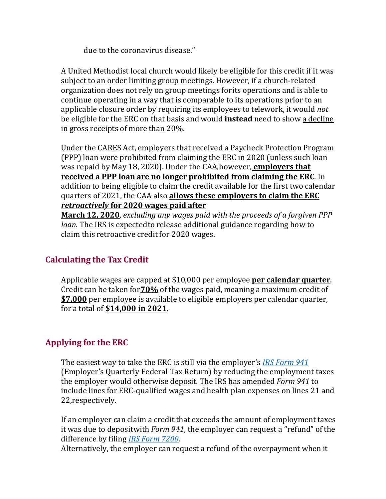due to the coronavirus disease."

A United Methodist local church would likely be eligible for this credit if it was subject to an order limiting group meetings. However, if a church-related organization does not rely on group meetings forits operations and is able to continue operating in a way that is comparable to its operations prior to an applicable closure order by requiring its employees to telework, it would *not*  be eligible for the ERC on that basis and would **instead** need to show a decline in gross receipts of more than 20%.

Under the CARES Act, employers that received a Paycheck Protection Program (PPP) loa[n](#page-2-0) were prohibited from claiming the ERC in 2020 (unless such loan was repaid by May 18, 2020). Under the CAA,however, **employers that received a PPP loan are no longer prohibited from claiming the ERC**. In addition to being eligible to claim the credit available for the first two calendar quarters of 2021, the CAA also **allows these employers to claim the ERC** *retroactively* **for 2020 wages paid after**

**March 12, 2020**, *excluding any wages paid with the proceeds of a forgiven PPP loan*. The IRS is expectedto release additional guidance regarding how to claim this retroactive credit for 2020 wages.

# **Calculating the Tax Credit**

Applicable wages are capped at \$10,000 per employee **per calendar quarter**. Credit can be taken for**70%** of the wages paid, meaning a maximum credit of **\$7,000** per employee is available to eligible employers per calendar quarter, for a total of **\$14,000 in 2021**.

# **Applying for the ERC**

The easiest way to take the ERC is still via the employer's *IRS [Form](https://www.irs.gov/forms-pubs/about-form-941) 941* (Employer's Quarterly Federal Tax Return) by reducing the employment taxes the employer would otherwise deposit. The IRS has amended *Form 941* to include lines for ERC-qualified wages and health plan expenses on lines 21 and 22,respectively.

If an employer can claim a credit that exceeds the amount of employment taxes it was due to depositwith *Form 941*, the employer can request a "refund" of the difference by filing *IRS [Form](https://www.irs.gov/forms-pubs/about-form-7200) 7200*.

Alternatively, the employer can request a refund of the overpayment when it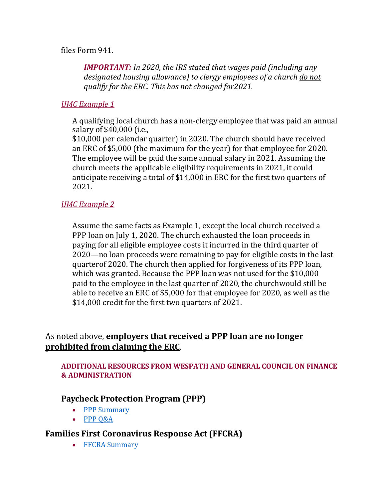<span id="page-2-0"></span>files Form 941.

*IMPORTANT: In 2020, the IRS stated that wages paid (including any designated housing allowance) to clergy employees of a church do not qualify for the ERC. This has not changed for2021.*

### *UMC Example 1*

A qualifying local church has a non-clergy employee that was paid an annual salary of \$40,000 (i.e.,

\$10,000 per calendar quarter) in 2020. The church should have received an ERC of \$5,000 (the maximum for the year) for that employee for 2020. The employee will be paid the same annual salary in 2021. Assuming the church meets the applicable eligibility requirements in 2021, it could anticipate receiving a total of \$14,000 in ERC for the first two quarters of 2021.

### *UMC Example 2*

Assume the same facts as Example 1, except the local church received a PPP loan on July 1, 2020. The church exhausted the loan proceeds in paying for all eligible employee costs it incurred in the third quarter of 2020—no loan proceeds were remaining to pay for eligible costs in the last quarterof 2020. The church then applied for forgiveness of its PPP loan, which was granted. Because the PPP loan was not used for the \$10,000 paid to the employee in the last quarter of 2020, the churchwould still be able to receive an ERC of \$5,000 for that employee for 2020, as well as the \$14,000 credit for the first two quarters of 2021.

# As noted above, **employers that received a PPP loan are no longer prohibited from claiming the ERC**.

#### **ADDITIONAL RESOURCES FROM WESPATH AND GENERAL COUNCIL ON FINANCE & ADMINISTRATION**

# **Paycheck Protection Program (PPP)**

- PPP [Summary](https://www.wespath.org/assets/1/7/5601.pdf)
- PPP [Q&A](https://www.wespath.org/assets/1/7/5668.pdf)

# **Families First Coronavirus Response Act (FFCRA)**

• FFCRA [Summary](https://www.wespath.org/assets/1/7/5558.pdf)